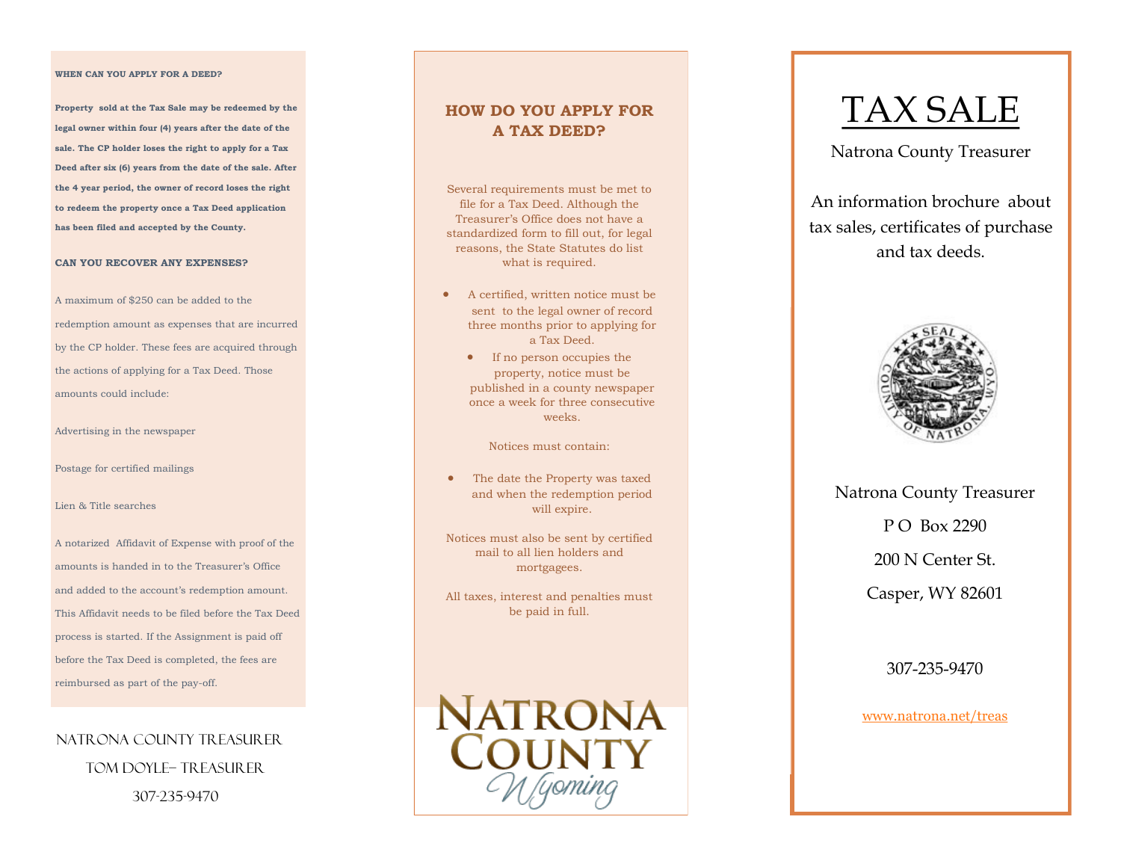#### **WHEN CAN YOU APPLY FOR A DEED?**

**Property sold at the Tax Sale may be redeemed by the legal owner within four (4) years after the date of the sale. The CP holder loses the right to apply for a Tax Deed after six (6) years from the date of the sale. After the 4 year period, the owner of record loses the right to redeem the property once a Tax Deed application has been filed and accepted by the County.** 

#### **CAN YOU RECOVER ANY EXPENSES?**

A maximum of \$250 can be added to the redemption amount as expenses that are incurred by the CP holder. These fees are acquired through the actions of applying for a Tax Deed. Those amounts could include:

Advertising in the newspaper

Postage for certified mailings

#### Lien & Title searches

A notarized Affidavit of Expense with proof of the amounts is handed in to the Treasurer's Office and added to the account's redemption amount. This Affidavit needs to be filed before the Tax Deed process is started. If the Assignment is paid off before the Tax Deed is completed, the fees are reimbursed as part of the pay-off.

NATRONA COUNTY TREASURER Tom Doyle– Treasurer 307-235-9470

#### **HOW DO YOU APPLY FOR A TAX DEED?**

Several requirements must be met to file for a Tax Deed. Although the Treasurer's Office does not have a standardized form to fill out, for legal reasons, the State Statutes do list what is required.

- A certified, written notice must be sent to the legal owner of record three months prior to applying for a Tax Deed.
	- If no person occupies the property, notice must be published in a county newspaper once a week for three consecutive weeks.

Notices must contain:

 The date the Property was taxed and when the redemption period will expire.

Notices must also be sent by certified mail to all lien holders and mortgagees.

All taxes, interest and penalties must be paid in full.



# TAX SALE

Natrona County Treasurer

An information brochure about tax sales, certificates of purchase and tax deeds.



Natrona County Treasurer P O Box 2290 200 N Center St. Casper, WY 82601

307-235-9470

[www.natrona.net/treas](http://www.natrona.net/treas)